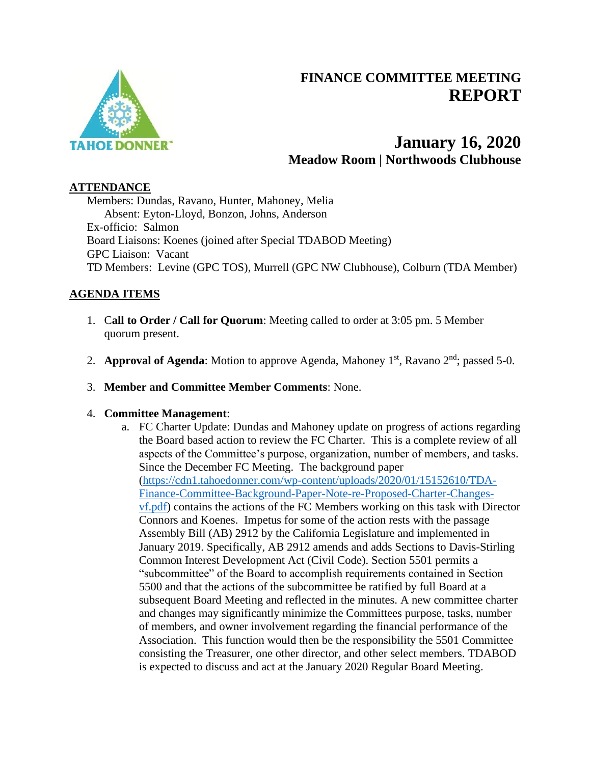

# **FINANCE COMMITTEE MEETING REPORT**

# **January 16, 2020 Meadow Room | Northwoods Clubhouse**

#### **ATTENDANCE**

Members: Dundas, Ravano, Hunter, Mahoney, Melia Absent: Eyton-Lloyd, Bonzon, Johns, Anderson Ex-officio: Salmon Board Liaisons: Koenes (joined after Special TDABOD Meeting) GPC Liaison: Vacant TD Members: Levine (GPC TOS), Murrell (GPC NW Clubhouse), Colburn (TDA Member)

## **AGENDA ITEMS**

- 1. C**all to Order / Call for Quorum**: Meeting called to order at 3:05 pm. 5 Member quorum present.
- 2. **Approval of Agenda**: Motion to approve Agenda, Mahoney 1<sup>st</sup>, Ravano 2<sup>nd</sup>; passed 5-0.
- 3. **Member and Committee Member Comments**: None.

## 4. **Committee Management**:

a. FC Charter Update: Dundas and Mahoney update on progress of actions regarding the Board based action to review the FC Charter. This is a complete review of all aspects of the Committee's purpose, organization, number of members, and tasks. Since the December FC Meeting. The background paper [\(https://cdn1.tahoedonner.com/wp-content/uploads/2020/01/15152610/TDA-](https://cdn1.tahoedonner.com/wp-content/uploads/2020/01/15152610/TDA-Finance-Committee-Background-Paper-Note-re-Proposed-Charter-Changes-vf.pdf)[Finance-Committee-Background-Paper-Note-re-Proposed-Charter-Changes](https://cdn1.tahoedonner.com/wp-content/uploads/2020/01/15152610/TDA-Finance-Committee-Background-Paper-Note-re-Proposed-Charter-Changes-vf.pdf)[vf.pdf\)](https://cdn1.tahoedonner.com/wp-content/uploads/2020/01/15152610/TDA-Finance-Committee-Background-Paper-Note-re-Proposed-Charter-Changes-vf.pdf) contains the actions of the FC Members working on this task with Director Connors and Koenes. Impetus for some of the action rests with the passage Assembly Bill (AB) 2912 by the California Legislature and implemented in January 2019. Specifically, AB 2912 amends and adds Sections to Davis-Stirling Common Interest Development Act (Civil Code). Section 5501 permits a "subcommittee" of the Board to accomplish requirements contained in Section 5500 and that the actions of the subcommittee be ratified by full Board at a subsequent Board Meeting and reflected in the minutes. A new committee charter and changes may significantly minimize the Committees purpose, tasks, number of members, and owner involvement regarding the financial performance of the Association. This function would then be the responsibility the 5501 Committee consisting the Treasurer, one other director, and other select members. TDABOD is expected to discuss and act at the January 2020 Regular Board Meeting.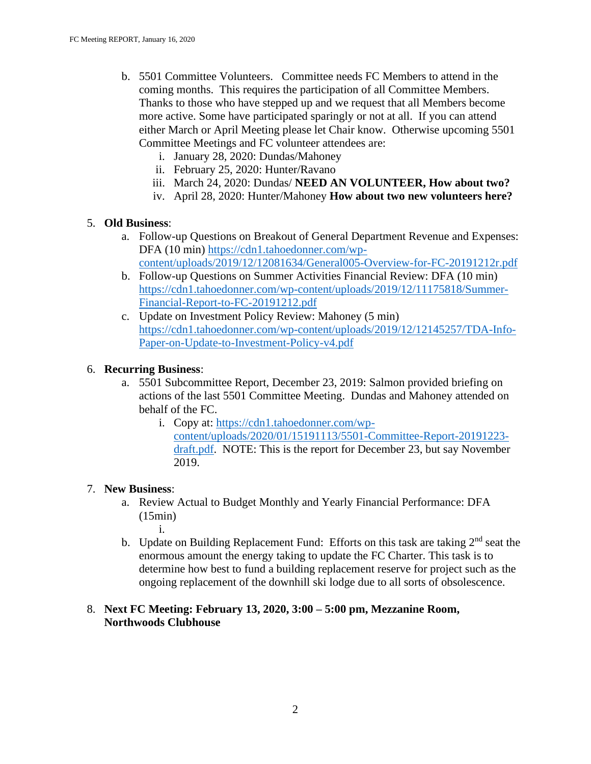- b. 5501 Committee Volunteers. Committee needs FC Members to attend in the coming months. This requires the participation of all Committee Members. Thanks to those who have stepped up and we request that all Members become more active. Some have participated sparingly or not at all. If you can attend either March or April Meeting please let Chair know. Otherwise upcoming 5501 Committee Meetings and FC volunteer attendees are:
	- i. January 28, 2020: Dundas/Mahoney
	- ii. February 25, 2020: Hunter/Ravano
	- iii. March 24, 2020: Dundas/ **NEED AN VOLUNTEER, How about two?**
	- iv. April 28, 2020: Hunter/Mahoney **How about two new volunteers here?**

## 5. **Old Business**:

- a. Follow-up Questions on Breakout of General Department Revenue and Expenses: DFA (10 min) [https://cdn1.tahoedonner.com/wp](https://cdn1.tahoedonner.com/wp-content/uploads/2019/12/12081634/General005-Overview-for-FC-20191212r.pdf)[content/uploads/2019/12/12081634/General005-Overview-for-FC-20191212r.pdf](https://cdn1.tahoedonner.com/wp-content/uploads/2019/12/12081634/General005-Overview-for-FC-20191212r.pdf)
- b. Follow-up Questions on Summer Activities Financial Review: DFA (10 min) [https://cdn1.tahoedonner.com/wp-content/uploads/2019/12/11175818/Summer-](https://cdn1.tahoedonner.com/wp-content/uploads/2019/12/11175818/Summer-Financial-Report-to-FC-20191212.pdf)[Financial-Report-to-FC-20191212.pdf](https://cdn1.tahoedonner.com/wp-content/uploads/2019/12/11175818/Summer-Financial-Report-to-FC-20191212.pdf)
- c. Update on Investment Policy Review: Mahoney (5 min) [https://cdn1.tahoedonner.com/wp-content/uploads/2019/12/12145257/TDA-Info-](https://cdn1.tahoedonner.com/wp-content/uploads/2019/12/12145257/TDA-Info-Paper-on-Update-to-Investment-Policy-v4.pdf)Paper-on-Update-to-Investment-Policy-v<sub>4</sub>.pdf

## 6. **Recurring Business**:

- a. 5501 Subcommittee Report, December 23, 2019: Salmon provided briefing on actions of the last 5501 Committee Meeting. Dundas and Mahoney attended on behalf of the FC.
	- i. Copy at: [https://cdn1.tahoedonner.com/wp](https://cdn1.tahoedonner.com/wp-content/uploads/2020/01/15191113/5501-Committee-Report-20191223-draft.pdf)[content/uploads/2020/01/15191113/5501-Committee-Report-20191223](https://cdn1.tahoedonner.com/wp-content/uploads/2020/01/15191113/5501-Committee-Report-20191223-draft.pdf) [draft.pdf.](https://cdn1.tahoedonner.com/wp-content/uploads/2020/01/15191113/5501-Committee-Report-20191223-draft.pdf) NOTE: This is the report for December 23, but say November 2019.

#### 7. **New Business**:

- a. Review Actual to Budget Monthly and Yearly Financial Performance: DFA (15min)
	- i.
- b. Update on Building Replacement Fund: Efforts on this task are taking 2<sup>nd</sup> seat the enormous amount the energy taking to update the FC Charter. This task is to determine how best to fund a building replacement reserve for project such as the ongoing replacement of the downhill ski lodge due to all sorts of obsolescence.

## 8. **Next FC Meeting: February 13, 2020, 3:00 – 5:00 pm, Mezzanine Room, Northwoods Clubhouse**